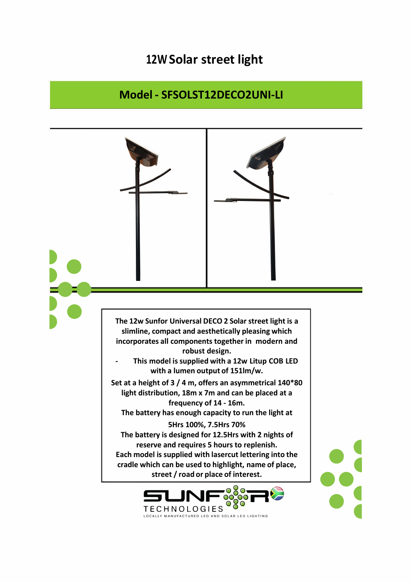## **12W Solar street light**

## **Model - SFSOLST12DECO2UNI-LI**